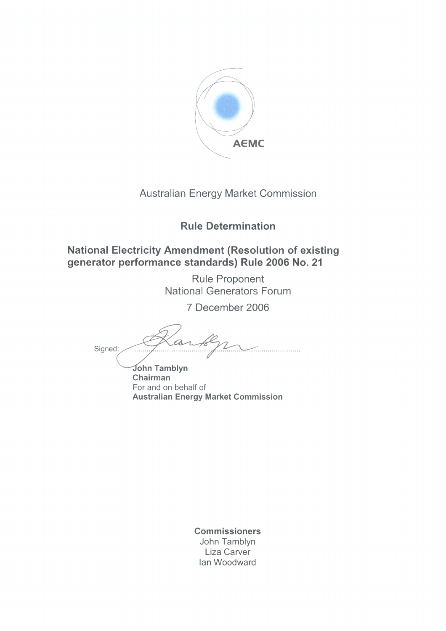

### **Australian Energy Market Commission**

### **Rule Determination**

### **National Electricity Amendment (Resolution of existing** generator performance standards) Rule 2006 No. 21

**Rule Proponent National Generators Forum** 

7 December 2006

Signed: . . . . . . . . . . . . . . . . .

John Tamblyn Chairman For and on behalf of **Australian Energy Market Commission** 

> **Commissioners** John Tamblyn Liza Carver Ian Woodward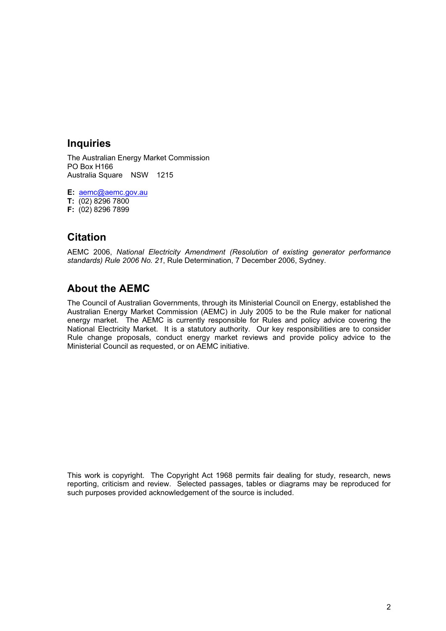#### **Inquiries**

The Australian Energy Market Commission PO Box H166 Australia Square NSW 1215

**E:** aemc@aemc.gov.au **T:** (02) 8296 7800 **F:** (02) 8296 7899

### **Citation**

AEMC 2006, *National Electricity Amendment (Resolution of existing generator performance standards) Rule 2006 No. 21*, Rule Determination, 7 December 2006, Sydney.

### **About the AEMC**

The Council of Australian Governments, through its Ministerial Council on Energy, established the Australian Energy Market Commission (AEMC) in July 2005 to be the Rule maker for national energy market. The AEMC is currently responsible for Rules and policy advice covering the National Electricity Market. It is a statutory authority. Our key responsibilities are to consider Rule change proposals, conduct energy market reviews and provide policy advice to the Ministerial Council as requested, or on AEMC initiative.

This work is copyright. The Copyright Act 1968 permits fair dealing for study, research, news reporting, criticism and review. Selected passages, tables or diagrams may be reproduced for such purposes provided acknowledgement of the source is included.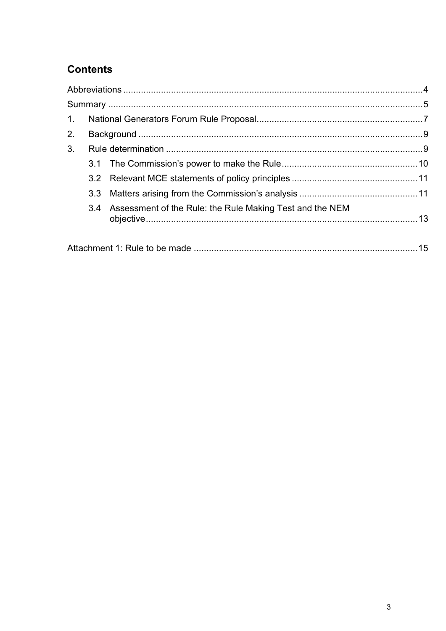# **Contents**

| $\mathbf{1}$ . |     |                                                              |  |
|----------------|-----|--------------------------------------------------------------|--|
| 2.             |     |                                                              |  |
| 3.             |     |                                                              |  |
|                |     |                                                              |  |
|                |     |                                                              |  |
|                | 3.3 |                                                              |  |
|                |     | 3.4 Assessment of the Rule: the Rule Making Test and the NEM |  |
|                |     |                                                              |  |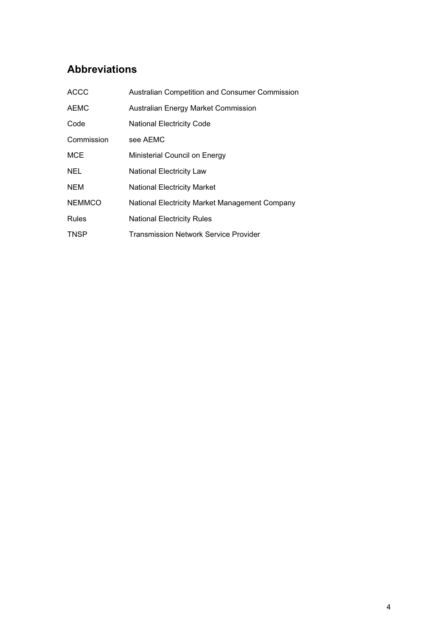## **Abbreviations**

| <b>ACCC</b>   | <b>Australian Competition and Consumer Commission</b> |
|---------------|-------------------------------------------------------|
| <b>AEMC</b>   | Australian Energy Market Commission                   |
| Code          | <b>National Electricity Code</b>                      |
| Commission    | see AEMC                                              |
| MCE           | Ministerial Council on Energy                         |
| <b>NEL</b>    | National Electricity Law                              |
| <b>NEM</b>    | <b>National Electricity Market</b>                    |
| <b>NEMMCO</b> | National Electricity Market Management Company        |
| Rules         | <b>National Electricity Rules</b>                     |
| <b>TNSP</b>   | <b>Transmission Network Service Provider</b>          |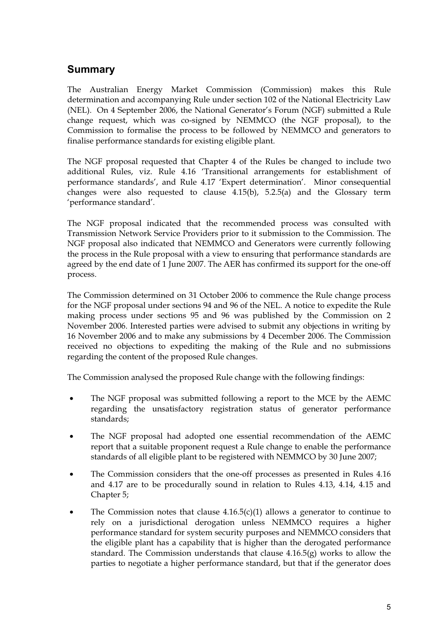### **Summary**

The Australian Energy Market Commission (Commission) makes this Rule determination and accompanying Rule under section 102 of the National Electricity Law (NEL). On 4 September 2006, the National Generator's Forum (NGF) submitted a Rule change request, which was co-signed by NEMMCO (the NGF proposal), to the Commission to formalise the process to be followed by NEMMCO and generators to finalise performance standards for existing eligible plant.

The NGF proposal requested that Chapter 4 of the Rules be changed to include two additional Rules, viz. Rule 4.16 'Transitional arrangements for establishment of performance standards', and Rule 4.17 'Expert determination'. Minor consequential changes were also requested to clause 4.15(b), 5.2.5(a) and the Glossary term 'performance standard'.

The NGF proposal indicated that the recommended process was consulted with Transmission Network Service Providers prior to it submission to the Commission. The NGF proposal also indicated that NEMMCO and Generators were currently following the process in the Rule proposal with a view to ensuring that performance standards are agreed by the end date of 1 June 2007. The AER has confirmed its support for the one-off process.

The Commission determined on 31 October 2006 to commence the Rule change process for the NGF proposal under sections 94 and 96 of the NEL. A notice to expedite the Rule making process under sections 95 and 96 was published by the Commission on 2 November 2006. Interested parties were advised to submit any objections in writing by 16 November 2006 and to make any submissions by 4 December 2006. The Commission received no objections to expediting the making of the Rule and no submissions regarding the content of the proposed Rule changes.

The Commission analysed the proposed Rule change with the following findings:

- The NGF proposal was submitted following a report to the MCE by the AEMC regarding the unsatisfactory registration status of generator performance standards;
- The NGF proposal had adopted one essential recommendation of the AEMC report that a suitable proponent request a Rule change to enable the performance standards of all eligible plant to be registered with NEMMCO by 30 June 2007;
- The Commission considers that the one-off processes as presented in Rules 4.16 and 4.17 are to be procedurally sound in relation to Rules 4.13, 4.14, 4.15 and Chapter 5;
- The Commission notes that clause  $4.16.5(c)(1)$  allows a generator to continue to rely on a jurisdictional derogation unless NEMMCO requires a higher performance standard for system security purposes and NEMMCO considers that the eligible plant has a capability that is higher than the derogated performance standard. The Commission understands that clause 4.16.5(g) works to allow the parties to negotiate a higher performance standard, but that if the generator does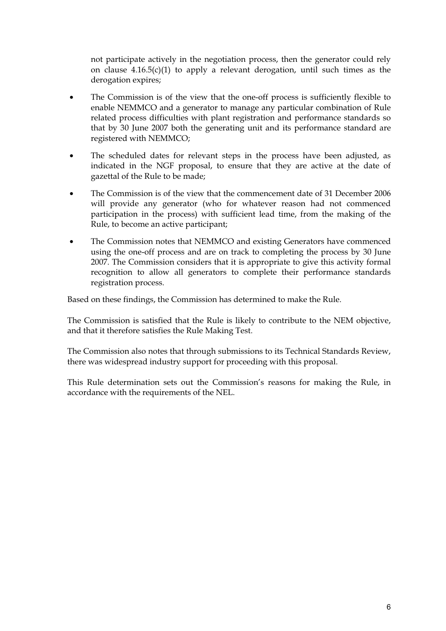not participate actively in the negotiation process, then the generator could rely on clause 4.16.5(c)(1) to apply a relevant derogation, until such times as the derogation expires:

- The Commission is of the view that the one-off process is sufficiently flexible to enable NEMMCO and a generator to manage any particular combination of Rule related process difficulties with plant registration and performance standards so that by 30 June 2007 both the generating unit and its performance standard are registered with NEMMCO;
- The scheduled dates for relevant steps in the process have been adjusted, as indicated in the NGF proposal, to ensure that they are active at the date of gazettal of the Rule to be made;
- The Commission is of the view that the commencement date of 31 December 2006 will provide any generator (who for whatever reason had not commenced participation in the process) with sufficient lead time, from the making of the Rule, to become an active participant;
- The Commission notes that NEMMCO and existing Generators have commenced using the one-off process and are on track to completing the process by 30 June 2007. The Commission considers that it is appropriate to give this activity formal recognition to allow all generators to complete their performance standards registration process.

Based on these findings, the Commission has determined to make the Rule.

The Commission is satisfied that the Rule is likely to contribute to the NEM objective, and that it therefore satisfies the Rule Making Test.

The Commission also notes that through submissions to its Technical Standards Review, there was widespread industry support for proceeding with this proposal.

This Rule determination sets out the Commission's reasons for making the Rule, in accordance with the requirements of the NEL.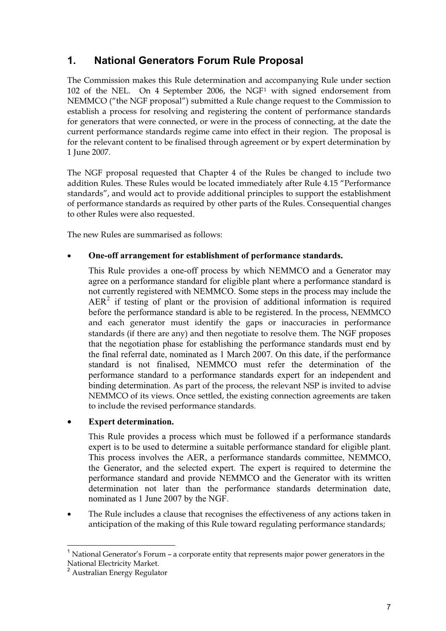### **1. National Generators Forum Rule Proposal**

The Commission makes this Rule determination and accompanying Rule under section 102 of the NEL. On 4 September 2006, the NGF1 with signed endorsement from NEMMCO ("the NGF proposal") submitted a Rule change request to the Commission to establish a process for resolving and registering the content of performance standards for generators that were connected, or were in the process of connecting, at the date the current performance standards regime came into effect in their region. The proposal is for the relevant content to be finalised through agreement or by expert determination by 1 June 2007.

The NGF proposal requested that Chapter 4 of the Rules be changed to include two addition Rules. These Rules would be located immediately after Rule 4.15 "Performance standards", and would act to provide additional principles to support the establishment of performance standards as required by other parts of the Rules. Consequential changes to other Rules were also requested.

The new Rules are summarised as follows:

#### • **One-off arrangement for establishment of performance standards.**

This Rule provides a one-off process by which NEMMCO and a Generator may agree on a performance standard for eligible plant where a performance standard is not currently registered with NEMMCO. Some steps in the process may include the  $AER<sup>2</sup>$  if testing of plant or the provision of additional information is required before the performance standard is able to be registered. In the process, NEMMCO and each generator must identify the gaps or inaccuracies in performance standards (if there are any) and then negotiate to resolve them. The NGF proposes that the negotiation phase for establishing the performance standards must end by the final referral date, nominated as 1 March 2007. On this date, if the performance standard is not finalised, NEMMCO must refer the determination of the performance standard to a performance standards expert for an independent and binding determination. As part of the process, the relevant NSP is invited to advise NEMMCO of its views. Once settled, the existing connection agreements are taken to include the revised performance standards.

#### • **Expert determination.**

This Rule provides a process which must be followed if a performance standards expert is to be used to determine a suitable performance standard for eligible plant. This process involves the AER, a performance standards committee, NEMMCO, the Generator, and the selected expert. The expert is required to determine the performance standard and provide NEMMCO and the Generator with its written determination not later than the performance standards determination date, nominated as 1 June 2007 by the NGF.

• The Rule includes a clause that recognises the effectiveness of any actions taken in anticipation of the making of this Rule toward regulating performance standards;

 $\overline{a}$ 

<sup>&</sup>lt;sup>1</sup> National Generator's Forum – a corporate entity that represents major power generators in the National Electricity Market.

<sup>2</sup> Australian Energy Regulator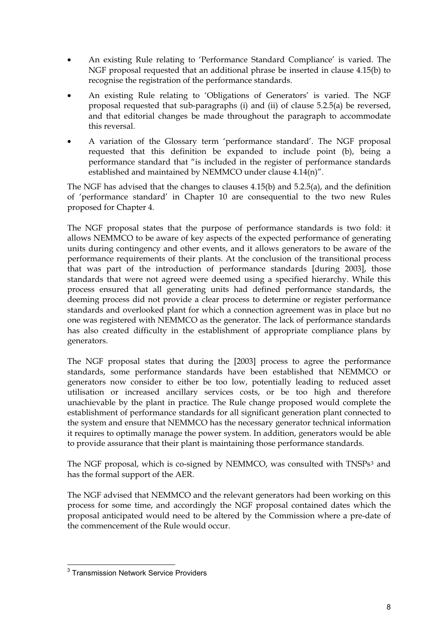- An existing Rule relating to 'Performance Standard Compliance' is varied. The NGF proposal requested that an additional phrase be inserted in clause 4.15(b) to recognise the registration of the performance standards.
- An existing Rule relating to 'Obligations of Generators' is varied. The NGF proposal requested that sub-paragraphs (i) and (ii) of clause 5.2.5(a) be reversed, and that editorial changes be made throughout the paragraph to accommodate this reversal.
- A variation of the Glossary term 'performance standard'. The NGF proposal requested that this definition be expanded to include point (b), being a performance standard that "is included in the register of performance standards established and maintained by NEMMCO under clause 4.14(n)".

The NGF has advised that the changes to clauses 4.15(b) and 5.2.5(a), and the definition of 'performance standard' in Chapter 10 are consequential to the two new Rules proposed for Chapter 4.

The NGF proposal states that the purpose of performance standards is two fold: it allows NEMMCO to be aware of key aspects of the expected performance of generating units during contingency and other events, and it allows generators to be aware of the performance requirements of their plants. At the conclusion of the transitional process that was part of the introduction of performance standards [during 2003], those standards that were not agreed were deemed using a specified hierarchy. While this process ensured that all generating units had defined performance standards, the deeming process did not provide a clear process to determine or register performance standards and overlooked plant for which a connection agreement was in place but no one was registered with NEMMCO as the generator. The lack of performance standards has also created difficulty in the establishment of appropriate compliance plans by generators.

The NGF proposal states that during the [2003] process to agree the performance standards, some performance standards have been established that NEMMCO or generators now consider to either be too low, potentially leading to reduced asset utilisation or increased ancillary services costs, or be too high and therefore unachievable by the plant in practice. The Rule change proposed would complete the establishment of performance standards for all significant generation plant connected to the system and ensure that NEMMCO has the necessary generator technical information it requires to optimally manage the power system. In addition, generators would be able to provide assurance that their plant is maintaining those performance standards.

The NGF proposal, which is co-signed by NEMMCO, was consulted with TNSPs<sup>3</sup> and has the formal support of the AER.

The NGF advised that NEMMCO and the relevant generators had been working on this process for some time, and accordingly the NGF proposal contained dates which the proposal anticipated would need to be altered by the Commission where a pre-date of the commencement of the Rule would occur.

 3 Transmission Network Service Providers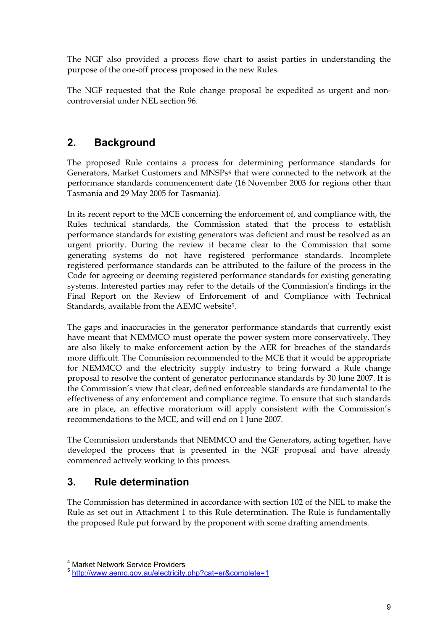The NGF also provided a process flow chart to assist parties in understanding the purpose of the one-off process proposed in the new Rules.

The NGF requested that the Rule change proposal be expedited as urgent and noncontroversial under NEL section 96.

### **2. Background**

The proposed Rule contains a process for determining performance standards for Generators, Market Customers and MNSPs4 that were connected to the network at the performance standards commencement date (16 November 2003 for regions other than Tasmania and 29 May 2005 for Tasmania).

In its recent report to the MCE concerning the enforcement of, and compliance with, the Rules technical standards, the Commission stated that the process to establish performance standards for existing generators was deficient and must be resolved as an urgent priority. During the review it became clear to the Commission that some generating systems do not have registered performance standards. Incomplete registered performance standards can be attributed to the failure of the process in the Code for agreeing or deeming registered performance standards for existing generating systems. Interested parties may refer to the details of the Commission's findings in the Final Report on the Review of Enforcement of and Compliance with Technical Standards, available from the AEMC website5.

The gaps and inaccuracies in the generator performance standards that currently exist have meant that NEMMCO must operate the power system more conservatively. They are also likely to make enforcement action by the AER for breaches of the standards more difficult. The Commission recommended to the MCE that it would be appropriate for NEMMCO and the electricity supply industry to bring forward a Rule change proposal to resolve the content of generator performance standards by 30 June 2007. It is the Commission's view that clear, defined enforceable standards are fundamental to the effectiveness of any enforcement and compliance regime. To ensure that such standards are in place, an effective moratorium will apply consistent with the Commission's recommendations to the MCE, and will end on 1 June 2007.

The Commission understands that NEMMCO and the Generators, acting together, have developed the process that is presented in the NGF proposal and have already commenced actively working to this process.

### **3. Rule determination**

The Commission has determined in accordance with section 102 of the NEL to make the Rule as set out in Attachment 1 to this Rule determination. The Rule is fundamentally the proposed Rule put forward by the proponent with some drafting amendments.

 4 Market Network Service Providers

<sup>5</sup> http://www.aemc.gov.au/electricity.php?cat=er&complete=1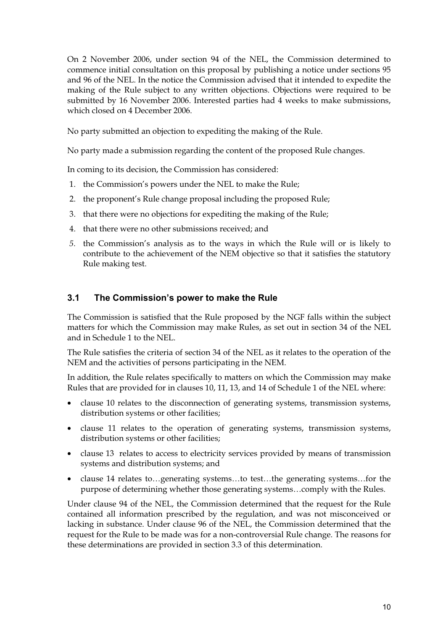On 2 November 2006, under section 94 of the NEL, the Commission determined to commence initial consultation on this proposal by publishing a notice under sections 95 and 96 of the NEL. In the notice the Commission advised that it intended to expedite the making of the Rule subject to any written objections. Objections were required to be submitted by 16 November 2006. Interested parties had 4 weeks to make submissions, which closed on 4 December 2006.

No party submitted an objection to expediting the making of the Rule.

No party made a submission regarding the content of the proposed Rule changes.

In coming to its decision, the Commission has considered:

- 1. the Commission's powers under the NEL to make the Rule;
- 2. the proponent's Rule change proposal including the proposed Rule;
- 3. that there were no objections for expediting the making of the Rule;
- 4. that there were no other submissions received; and
- *5.* the Commission's analysis as to the ways in which the Rule will or is likely to contribute to the achievement of the NEM objective so that it satisfies the statutory Rule making test.

#### **3.1 The Commission's power to make the Rule**

The Commission is satisfied that the Rule proposed by the NGF falls within the subject matters for which the Commission may make Rules, as set out in section 34 of the NEL and in Schedule 1 to the NEL.

The Rule satisfies the criteria of section 34 of the NEL as it relates to the operation of the NEM and the activities of persons participating in the NEM.

In addition, the Rule relates specifically to matters on which the Commission may make Rules that are provided for in clauses 10, 11, 13, and 14 of Schedule 1 of the NEL where:

- clause 10 relates to the disconnection of generating systems, transmission systems, distribution systems or other facilities;
- clause 11 relates to the operation of generating systems, transmission systems, distribution systems or other facilities;
- clause 13 relates to access to electricity services provided by means of transmission systems and distribution systems; and
- clause 14 relates to…generating systems…to test…the generating systems…for the purpose of determining whether those generating systems…comply with the Rules.

Under clause 94 of the NEL, the Commission determined that the request for the Rule contained all information prescribed by the regulation, and was not misconceived or lacking in substance. Under clause 96 of the NEL, the Commission determined that the request for the Rule to be made was for a non-controversial Rule change. The reasons for these determinations are provided in section 3.3 of this determination.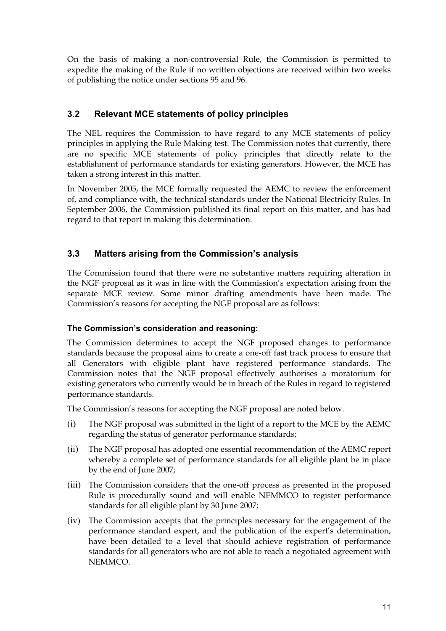On the basis of making a non-controversial Rule, the Commission is permitted to expedite the making of the Rule if no written objections are received within two weeks of publishing the notice under sections 95 and 96.

#### **3.2 Relevant MCE statements of policy principles**

The NEL requires the Commission to have regard to any MCE statements of policy principles in applying the Rule Making test. The Commission notes that currently, there are no specific MCE statements of policy principles that directly relate to the establishment of performance standards for existing generators. However, the MCE has taken a strong interest in this matter.

In November 2005, the MCE formally requested the AEMC to review the enforcement of, and compliance with, the technical standards under the National Electricity Rules. In September 2006, the Commission published its final report on this matter, and has had regard to that report in making this determination.

#### **3.3 Matters arising from the Commission's analysis**

The Commission found that there were no substantive matters requiring alteration in the NGF proposal as it was in line with the Commission's expectation arising from the separate MCE review. Some minor drafting amendments have been made. The Commission's reasons for accepting the NGF proposal are as follows:

#### **The Commission's consideration and reasoning:**

The Commission determines to accept the NGF proposed changes to performance standards because the proposal aims to create a one-off fast track process to ensure that all Generators with eligible plant have registered performance standards. The Commission notes that the NGF proposal effectively authorises a moratorium for existing generators who currently would be in breach of the Rules in regard to registered performance standards.

The Commission's reasons for accepting the NGF proposal are noted below.

- (i) The NGF proposal was submitted in the light of a report to the MCE by the AEMC regarding the status of generator performance standards;
- (ii) The NGF proposal has adopted one essential recommendation of the AEMC report whereby a complete set of performance standards for all eligible plant be in place by the end of June 2007;
- (iii) The Commission considers that the one-off process as presented in the proposed Rule is procedurally sound and will enable NEMMCO to register performance standards for all eligible plant by 30 June 2007;
- (iv) The Commission accepts that the principles necessary for the engagement of the performance standard expert, and the publication of the expert's determination, have been detailed to a level that should achieve registration of performance standards for all generators who are not able to reach a negotiated agreement with NEMMCO.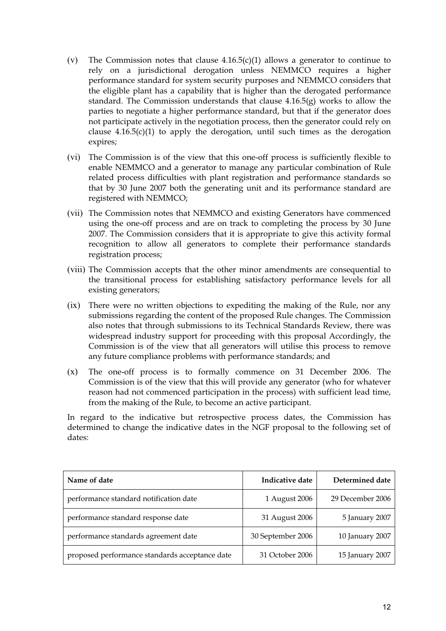- (v) The Commission notes that clause  $4.16.5(c)(1)$  allows a generator to continue to rely on a jurisdictional derogation unless NEMMCO requires a higher performance standard for system security purposes and NEMMCO considers that the eligible plant has a capability that is higher than the derogated performance standard. The Commission understands that clause 4.16.5(g) works to allow the parties to negotiate a higher performance standard, but that if the generator does not participate actively in the negotiation process, then the generator could rely on clause  $4.16.5(c)(1)$  to apply the derogation, until such times as the derogation expires;
- (vi) The Commission is of the view that this one-off process is sufficiently flexible to enable NEMMCO and a generator to manage any particular combination of Rule related process difficulties with plant registration and performance standards so that by 30 June 2007 both the generating unit and its performance standard are registered with NEMMCO;
- (vii) The Commission notes that NEMMCO and existing Generators have commenced using the one-off process and are on track to completing the process by 30 June 2007. The Commission considers that it is appropriate to give this activity formal recognition to allow all generators to complete their performance standards registration process;
- (viii) The Commission accepts that the other minor amendments are consequential to the transitional process for establishing satisfactory performance levels for all existing generators;
- (ix) There were no written objections to expediting the making of the Rule, nor any submissions regarding the content of the proposed Rule changes. The Commission also notes that through submissions to its Technical Standards Review, there was widespread industry support for proceeding with this proposal Accordingly, the Commission is of the view that all generators will utilise this process to remove any future compliance problems with performance standards; and
- (x) The one-off process is to formally commence on 31 December 2006. The Commission is of the view that this will provide any generator (who for whatever reason had not commenced participation in the process) with sufficient lead time, from the making of the Rule, to become an active participant.

In regard to the indicative but retrospective process dates, the Commission has determined to change the indicative dates in the NGF proposal to the following set of dates:

| Name of date                                   | Indicative date   | Determined date  |
|------------------------------------------------|-------------------|------------------|
| performance standard notification date         | 1 August 2006     | 29 December 2006 |
| performance standard response date             | 31 August 2006    | 5 January 2007   |
| performance standards agreement date           | 30 September 2006 | 10 January 2007  |
| proposed performance standards acceptance date | 31 October 2006   | 15 January 2007  |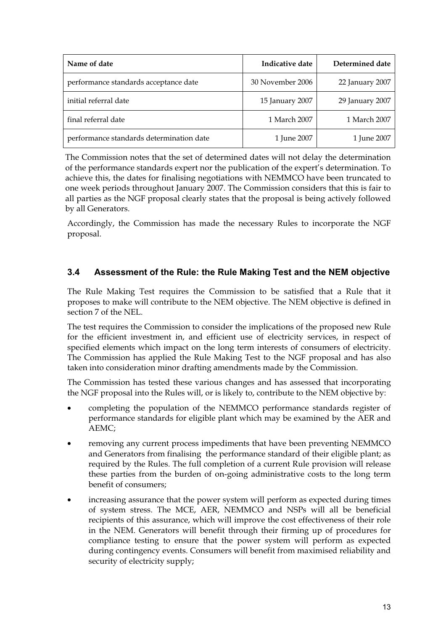| Name of date                             | Indicative date  | Determined date |
|------------------------------------------|------------------|-----------------|
| performance standards acceptance date    | 30 November 2006 | 22 January 2007 |
| initial referral date                    | 15 January 2007  | 29 January 2007 |
| final referral date                      | 1 March 2007     | 1 March 2007    |
| performance standards determination date | 1 June 2007      | 1 June 2007     |

The Commission notes that the set of determined dates will not delay the determination of the performance standards expert nor the publication of the expert's determination. To achieve this, the dates for finalising negotiations with NEMMCO have been truncated to one week periods throughout January 2007. The Commission considers that this is fair to all parties as the NGF proposal clearly states that the proposal is being actively followed by all Generators.

Accordingly, the Commission has made the necessary Rules to incorporate the NGF proposal.

#### **3.4 Assessment of the Rule: the Rule Making Test and the NEM objective**

The Rule Making Test requires the Commission to be satisfied that a Rule that it proposes to make will contribute to the NEM objective. The NEM objective is defined in section 7 of the NEL.

The test requires the Commission to consider the implications of the proposed new Rule for the efficient investment in, and efficient use of electricity services, in respect of specified elements which impact on the long term interests of consumers of electricity. The Commission has applied the Rule Making Test to the NGF proposal and has also taken into consideration minor drafting amendments made by the Commission.

The Commission has tested these various changes and has assessed that incorporating the NGF proposal into the Rules will, or is likely to, contribute to the NEM objective by:

- completing the population of the NEMMCO performance standards register of performance standards for eligible plant which may be examined by the AER and AEMC;
- removing any current process impediments that have been preventing NEMMCO and Generators from finalising the performance standard of their eligible plant; as required by the Rules. The full completion of a current Rule provision will release these parties from the burden of on-going administrative costs to the long term benefit of consumers;
- increasing assurance that the power system will perform as expected during times of system stress. The MCE, AER, NEMMCO and NSPs will all be beneficial recipients of this assurance, which will improve the cost effectiveness of their role in the NEM. Generators will benefit through their firming up of procedures for compliance testing to ensure that the power system will perform as expected during contingency events. Consumers will benefit from maximised reliability and security of electricity supply;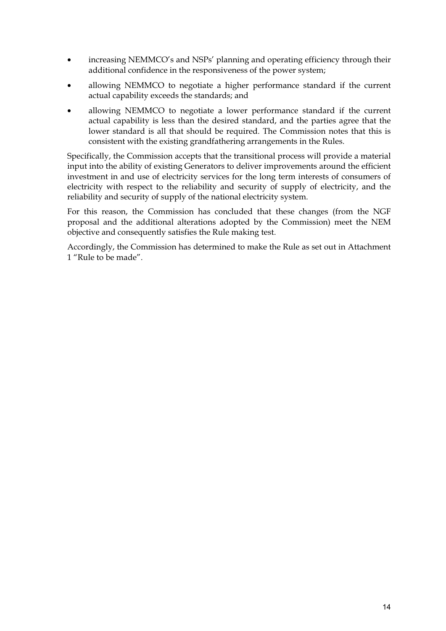- increasing NEMMCO's and NSPs' planning and operating efficiency through their additional confidence in the responsiveness of the power system;
- allowing NEMMCO to negotiate a higher performance standard if the current actual capability exceeds the standards; and
- allowing NEMMCO to negotiate a lower performance standard if the current actual capability is less than the desired standard, and the parties agree that the lower standard is all that should be required. The Commission notes that this is consistent with the existing grandfathering arrangements in the Rules.

Specifically, the Commission accepts that the transitional process will provide a material input into the ability of existing Generators to deliver improvements around the efficient investment in and use of electricity services for the long term interests of consumers of electricity with respect to the reliability and security of supply of electricity, and the reliability and security of supply of the national electricity system.

For this reason, the Commission has concluded that these changes (from the NGF proposal and the additional alterations adopted by the Commission) meet the NEM objective and consequently satisfies the Rule making test.

Accordingly, the Commission has determined to make the Rule as set out in Attachment 1 "Rule to be made".